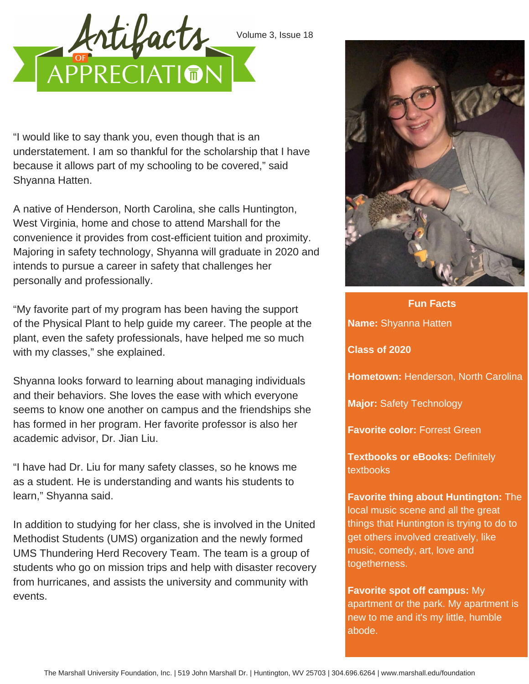



"I would like to say thank you, even though that is an understatement. I am so thankful for the scholarship that I have because it allows part of my schooling to be covered," said Shyanna Hatten.

A native of Henderson, North Carolina, she calls Huntington, West Virginia, home and chose to attend Marshall for the convenience it provides from cost-efficient tuition and proximity. Majoring in safety technology, Shyanna will graduate in 2020 and intends to pursue a career in safety that challenges her personally and professionally.

"My favorite part of my program has been having the support of the Physical Plant to help guide my career. The people at the plant, even the safety professionals, have helped me so much with my classes," she explained.

Shyanna looks forward to learning about managing individuals and their behaviors. She loves the ease with which everyone seems to know one another on campus and the friendships she has formed in her program. Her favorite professor is also her academic advisor, Dr. Jian Liu.

"I have had Dr. Liu for many safety classes, so he knows me as a student. He is understanding and wants his students to learn," Shyanna said.

In addition to studying for her class, she is involved in the United Methodist Students (UMS) organization and the newly formed UMS Thundering Herd Recovery Team. The team is a group of students who go on mission trips and help with disaster recovery from hurricanes, and assists the university and community with events.



**Fun Facts Name:** Shyanna Hatten **Class of 2020 Hometown:** Henderson, North Carolina **Major:** Safety Technology **Favorite color:** Forrest Green **Textbooks or eBooks:** Definitely textbooks **Favorite thing about Huntington:** The local music scene and all the great things that Huntington is trying to do to get others involved creatively, like music, comedy, art, love and togetherness.

**Favorite spot off campus:** My apartment or the park. My apartment is new to me and it's my little, humble abode.